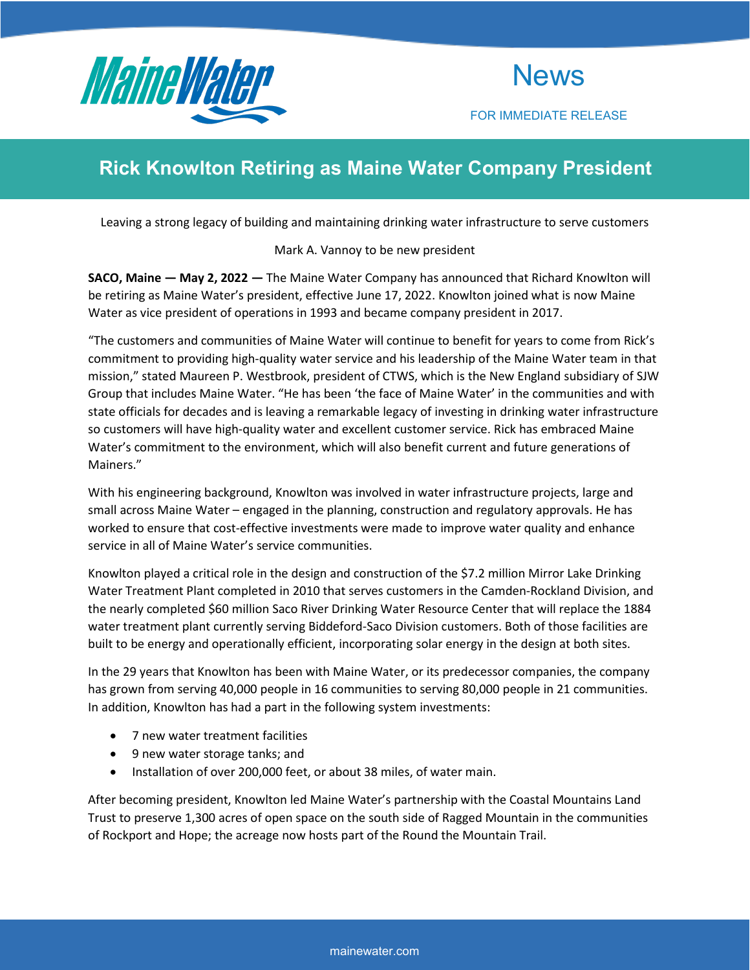

**News** 

FOR IMMEDIATE RELEASE

# **Rick Knowlton Retiring as Maine Water Company President**

Leaving a strong legacy of building and maintaining drinking water infrastructure to serve customers

## Mark A. Vannoy to be new president

**SACO, Maine — May 2, 2022 —** The Maine Water Company has announced that Richard Knowlton will be retiring as Maine Water's president, effective June 17, 2022. Knowlton joined what is now Maine Water as vice president of operations in 1993 and became company president in 2017.

"The customers and communities of Maine Water will continue to benefit for years to come from Rick's commitment to providing high-quality water service and his leadership of the Maine Water team in that mission," stated Maureen P. Westbrook, president of CTWS, which is the New England subsidiary of SJW Group that includes Maine Water. "He has been 'the face of Maine Water' in the communities and with state officials for decades and is leaving a remarkable legacy of investing in drinking water infrastructure so customers will have high-quality water and excellent customer service. Rick has embraced Maine Water's commitment to the environment, which will also benefit current and future generations of Mainers."

With his engineering background, Knowlton was involved in water infrastructure projects, large and small across Maine Water – engaged in the planning, construction and regulatory approvals. He has worked to ensure that cost-effective investments were made to improve water quality and enhance service in all of Maine Water's service communities.

Knowlton played a critical role in the design and construction of the \$7.2 million Mirror Lake Drinking Water Treatment Plant completed in 2010 that serves customers in the Camden-Rockland Division, and the nearly completed \$60 million Saco River Drinking Water Resource Center that will replace the 1884 water treatment plant currently serving Biddeford-Saco Division customers. Both of those facilities are built to be energy and operationally efficient, incorporating solar energy in the design at both sites.

In the 29 years that Knowlton has been with Maine Water, or its predecessor companies, the company has grown from serving 40,000 people in 16 communities to serving 80,000 people in 21 communities. In addition, Knowlton has had a part in the following system investments:

- 7 new water treatment facilities
- 9 new water storage tanks; and
- Installation of over 200,000 feet, or about 38 miles, of water main.

After becoming president, Knowlton led Maine Water's partnership with the Coastal Mountains Land Trust to preserve 1,300 acres of open space on the south side of Ragged Mountain in the communities of Rockport and Hope; the acreage now hosts part of the Round the Mountain Trail.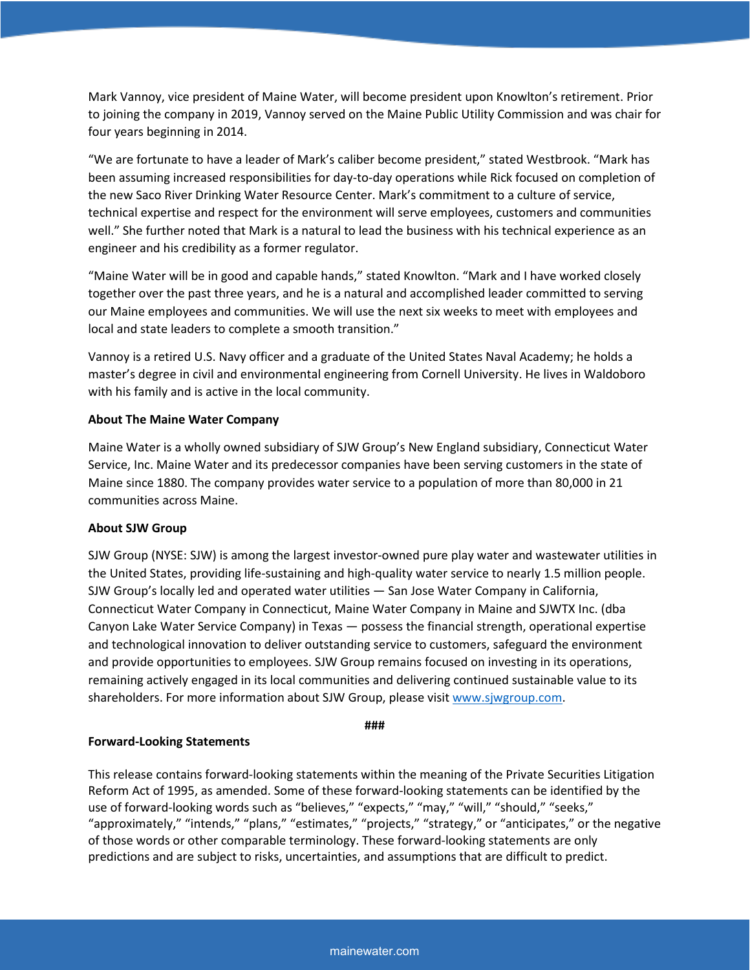Mark Vannoy, vice president of Maine Water, will become president upon Knowlton's retirement. Prior to joining the company in 2019, Vannoy served on the Maine Public Utility Commission and was chair for four years beginning in 2014.

"We are fortunate to have a leader of Mark's caliber become president," stated Westbrook. "Mark has been assuming increased responsibilities for day-to-day operations while Rick focused on completion of the new Saco River Drinking Water Resource Center. Mark's commitment to a culture of service, technical expertise and respect for the environment will serve employees, customers and communities well." She further noted that Mark is a natural to lead the business with his technical experience as an engineer and his credibility as a former regulator.

"Maine Water will be in good and capable hands," stated Knowlton. "Mark and I have worked closely together over the past three years, and he is a natural and accomplished leader committed to serving our Maine employees and communities. We will use the next six weeks to meet with employees and local and state leaders to complete a smooth transition."

Vannoy is a retired U.S. Navy officer and a graduate of the United States Naval Academy; he holds a master's degree in civil and environmental engineering from Cornell University. He lives in Waldoboro with his family and is active in the local community.

#### **About The Maine Water Company**

Maine Water is a wholly owned subsidiary of SJW Group's New England subsidiary, Connecticut Water Service, Inc. Maine Water and its predecessor companies have been serving customers in the state of Maine since 1880. The company provides water service to a population of more than 80,000 in 21 communities across Maine.

## **About SJW Group**

SJW Group (NYSE: SJW) is among the largest investor-owned pure play water and wastewater utilities in the United States, providing life-sustaining and high-quality water service to nearly 1.5 million people. SJW Group's locally led and operated water utilities — San Jose Water Company in California, Connecticut Water Company in Connecticut, Maine Water Company in Maine and SJWTX Inc. (dba Canyon Lake Water Service Company) in Texas — possess the financial strength, operational expertise and technological innovation to deliver outstanding service to customers, safeguard the environment and provide opportunities to employees. SJW Group remains focused on investing in its operations, remaining actively engaged in its local communities and delivering continued sustainable value to its shareholders. For more information about SJW Group, please visi[t www.sjwgroup.com.](http://www.sjwgroup.com/)

**###**

## **Forward-Looking Statements**

This release contains forward-looking statements within the meaning of the Private Securities Litigation Reform Act of 1995, as amended. Some of these forward-looking statements can be identified by the use of forward-looking words such as "believes," "expects," "may," "will," "should," "seeks," "approximately," "intends," "plans," "estimates," "projects," "strategy," or "anticipates," or the negative of those words or other comparable terminology. These forward-looking statements are only predictions and are subject to risks, uncertainties, and assumptions that are difficult to predict.